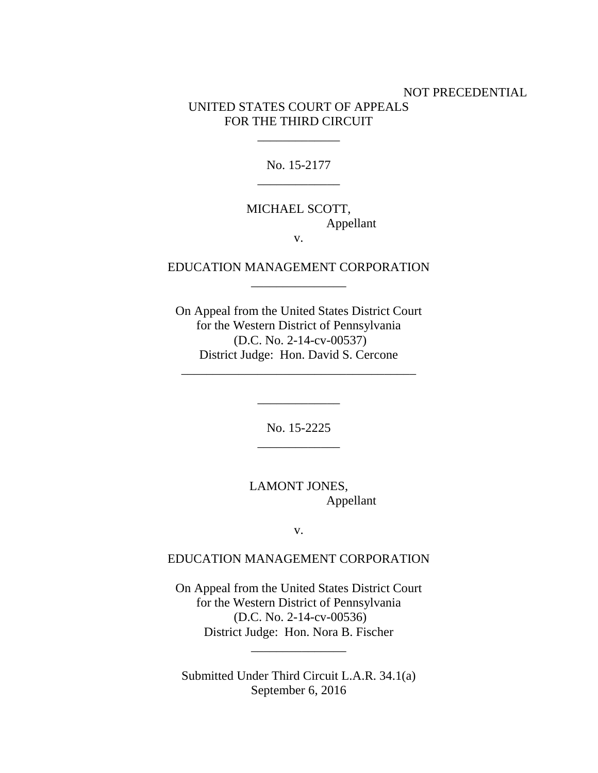## NOT PRECEDENTIAL UNITED STATES COURT OF APPEALS FOR THE THIRD CIRCUIT

No. 15-2177 \_\_\_\_\_\_\_\_\_\_\_\_\_

\_\_\_\_\_\_\_\_\_\_\_\_\_

# MICHAEL SCOTT, Appellant

v.

## EDUCATION MANAGEMENT CORPORATION  $\overline{\phantom{a}}$  , where the contract of  $\overline{\phantom{a}}$

On Appeal from the United States District Court for the Western District of Pennsylvania (D.C. No. 2-14-cv-00537) District Judge: Hon. David S. Cercone

\_\_\_\_\_\_\_\_\_\_\_\_\_\_\_\_\_\_\_\_\_\_\_\_\_\_\_\_\_\_\_\_\_\_\_\_\_

\_\_\_\_\_\_\_\_\_\_\_\_\_

No. 15-2225 \_\_\_\_\_\_\_\_\_\_\_\_\_

LAMONT JONES, Appellant

v.

### EDUCATION MANAGEMENT CORPORATION

On Appeal from the United States District Court for the Western District of Pennsylvania (D.C. No. 2-14-cv-00536) District Judge: Hon. Nora B. Fischer

Submitted Under Third Circuit L.A.R. 34.1(a) September 6, 2016

\_\_\_\_\_\_\_\_\_\_\_\_\_\_\_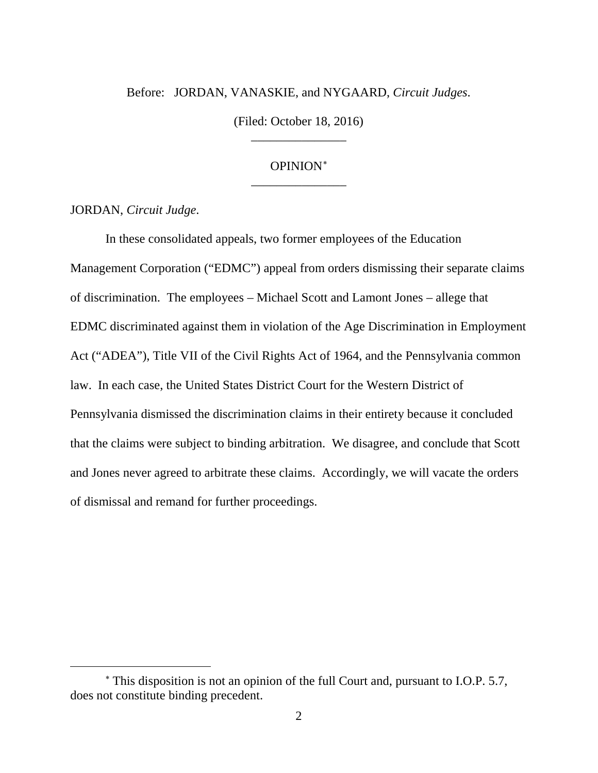## Before: JORDAN, VANASKIE, and NYGAARD, *Circuit Judges*.

(Filed: October 18, 2016) \_\_\_\_\_\_\_\_\_\_\_\_\_\_\_

## OPINION<sup>∗</sup> \_\_\_\_\_\_\_\_\_\_\_\_\_\_\_

JORDAN, *Circuit Judge*.

 $\overline{a}$ 

In these consolidated appeals, two former employees of the Education Management Corporation ("EDMC") appeal from orders dismissing their separate claims of discrimination. The employees – Michael Scott and Lamont Jones – allege that EDMC discriminated against them in violation of the Age Discrimination in Employment Act ("ADEA"), Title VII of the Civil Rights Act of 1964, and the Pennsylvania common law. In each case, the United States District Court for the Western District of Pennsylvania dismissed the discrimination claims in their entirety because it concluded that the claims were subject to binding arbitration. We disagree, and conclude that Scott and Jones never agreed to arbitrate these claims. Accordingly, we will vacate the orders of dismissal and remand for further proceedings.

<sup>∗</sup> This disposition is not an opinion of the full Court and, pursuant to I.O.P. 5.7, does not constitute binding precedent.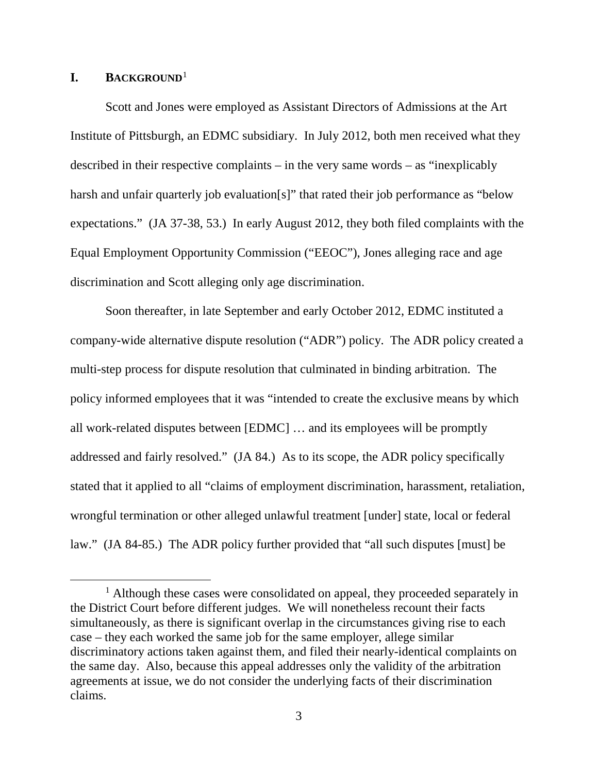#### **I. BACKGROUND**<sup>1</sup>

Scott and Jones were employed as Assistant Directors of Admissions at the Art Institute of Pittsburgh, an EDMC subsidiary. In July 2012, both men received what they described in their respective complaints – in the very same words – as "inexplicably harsh and unfair quarterly job evaluation[s]" that rated their job performance as "below expectations." (JA 37-38, 53.) In early August 2012, they both filed complaints with the Equal Employment Opportunity Commission ("EEOC"), Jones alleging race and age discrimination and Scott alleging only age discrimination.

Soon thereafter, in late September and early October 2012, EDMC instituted a company-wide alternative dispute resolution ("ADR") policy. The ADR policy created a multi-step process for dispute resolution that culminated in binding arbitration. The policy informed employees that it was "intended to create the exclusive means by which all work-related disputes between [EDMC] … and its employees will be promptly addressed and fairly resolved." (JA 84.) As to its scope, the ADR policy specifically stated that it applied to all "claims of employment discrimination, harassment, retaliation, wrongful termination or other alleged unlawful treatment [under] state, local or federal law." (JA 84-85.) The ADR policy further provided that "all such disputes [must] be

<sup>&</sup>lt;sup>1</sup> Although these cases were consolidated on appeal, they proceeded separately in the District Court before different judges. We will nonetheless recount their facts simultaneously, as there is significant overlap in the circumstances giving rise to each case – they each worked the same job for the same employer, allege similar discriminatory actions taken against them, and filed their nearly-identical complaints on the same day. Also, because this appeal addresses only the validity of the arbitration agreements at issue, we do not consider the underlying facts of their discrimination claims.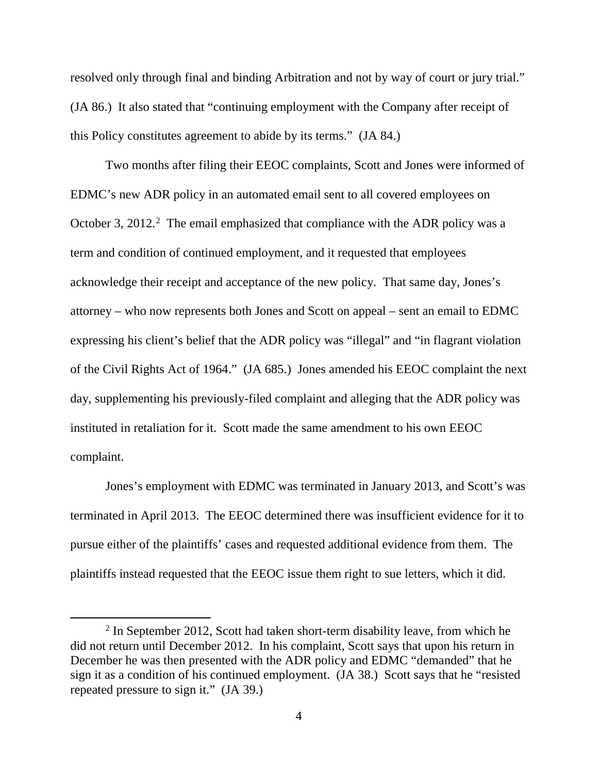resolved only through final and binding Arbitration and not by way of court or jury trial." (JA 86.) It also stated that "continuing employment with the Company after receipt of this Policy constitutes agreement to abide by its terms." (JA 84.)

Two months after filing their EEOC complaints, Scott and Jones were informed of EDMC's new ADR policy in an automated email sent to all covered employees on October 3, 2012.<sup>2</sup> The email emphasized that compliance with the ADR policy was a term and condition of continued employment, and it requested that employees acknowledge their receipt and acceptance of the new policy. That same day, Jones's attorney – who now represents both Jones and Scott on appeal – sent an email to EDMC expressing his client's belief that the ADR policy was "illegal" and "in flagrant violation of the Civil Rights Act of 1964." (JA 685.) Jones amended his EEOC complaint the next day, supplementing his previously-filed complaint and alleging that the ADR policy was instituted in retaliation for it. Scott made the same amendment to his own EEOC complaint.

Jones's employment with EDMC was terminated in January 2013, and Scott's was terminated in April 2013. The EEOC determined there was insufficient evidence for it to pursue either of the plaintiffs' cases and requested additional evidence from them. The plaintiffs instead requested that the EEOC issue them right to sue letters, which it did.

 $2$  In September 2012, Scott had taken short-term disability leave, from which he did not return until December 2012. In his complaint, Scott says that upon his return in December he was then presented with the ADR policy and EDMC "demanded" that he sign it as a condition of his continued employment. (JA 38.) Scott says that he "resisted repeated pressure to sign it." (JA 39.)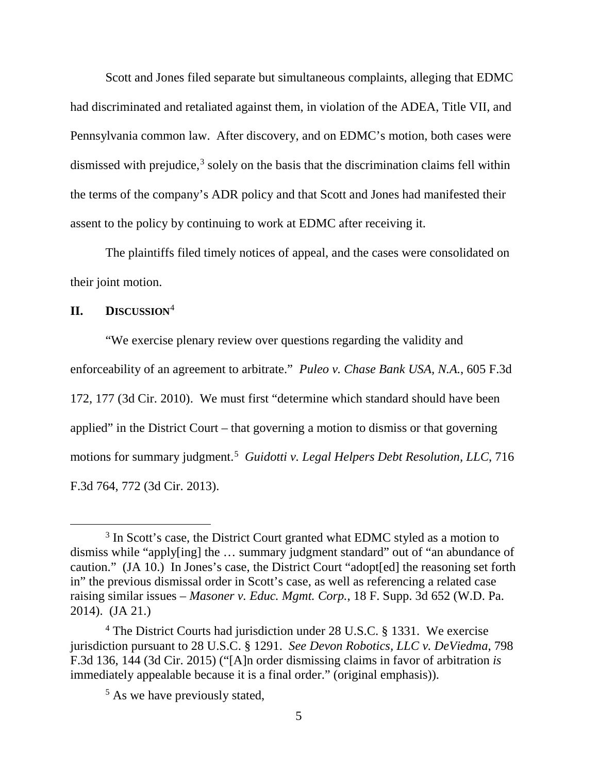Scott and Jones filed separate but simultaneous complaints, alleging that EDMC had discriminated and retaliated against them, in violation of the ADEA, Title VII, and Pennsylvania common law. After discovery, and on EDMC's motion, both cases were dismissed with prejudice, $3$  solely on the basis that the discrimination claims fell within the terms of the company's ADR policy and that Scott and Jones had manifested their assent to the policy by continuing to work at EDMC after receiving it.

The plaintiffs filed timely notices of appeal, and the cases were consolidated on their joint motion.

**II. DISCUSSION**<sup>4</sup>

"We exercise plenary review over questions regarding the validity and enforceability of an agreement to arbitrate." *Puleo v. Chase Bank USA, N.A.*, 605 F.3d 172, 177 (3d Cir. 2010). We must first "determine which standard should have been applied" in the District Court – that governing a motion to dismiss or that governing motions for summary judgment.<sup>5</sup> Guidotti v. Legal Helpers Debt Resolution, LLC, 716 F.3d 764, 772 (3d Cir. 2013).

<sup>&</sup>lt;sup>3</sup> In Scott's case, the District Court granted what EDMC styled as a motion to dismiss while "apply[ing] the … summary judgment standard" out of "an abundance of caution." (JA 10.) In Jones's case, the District Court "adopt[ed] the reasoning set forth in" the previous dismissal order in Scott's case, as well as referencing a related case raising similar issues – *Masoner v. Educ. Mgmt. Corp.*, 18 F. Supp. 3d 652 (W.D. Pa. 2014). (JA 21.)

<sup>&</sup>lt;sup>4</sup> The District Courts had jurisdiction under 28 U.S.C. § 1331. We exercise jurisdiction pursuant to 28 U.S.C. § 1291. *See Devon Robotics, LLC v. DeViedma*, 798 F.3d 136, 144 (3d Cir. 2015) ("[A]n order dismissing claims in favor of arbitration *is* immediately appealable because it is a final order." (original emphasis)).

<sup>&</sup>lt;sup>5</sup> As we have previously stated,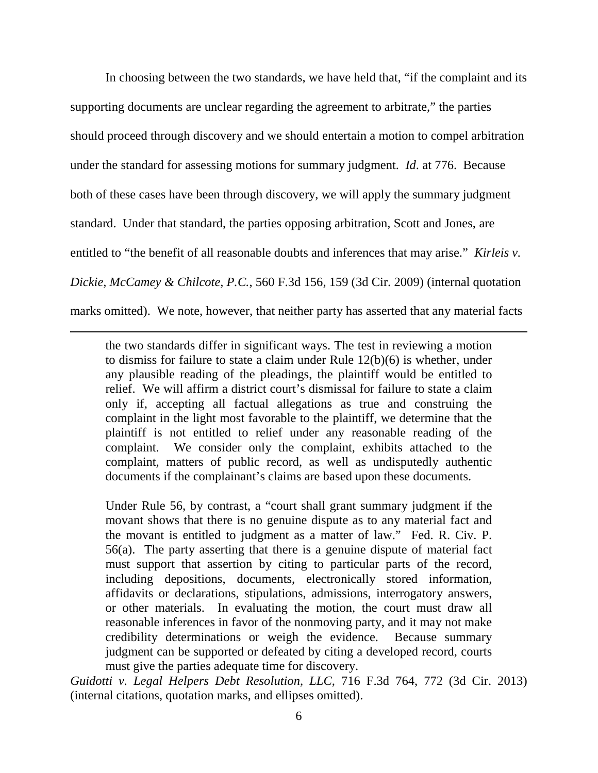In choosing between the two standards, we have held that, "if the complaint and its supporting documents are unclear regarding the agreement to arbitrate," the parties should proceed through discovery and we should entertain a motion to compel arbitration under the standard for assessing motions for summary judgment. *Id*. at 776. Because both of these cases have been through discovery, we will apply the summary judgment standard. Under that standard, the parties opposing arbitration, Scott and Jones, are entitled to "the benefit of all reasonable doubts and inferences that may arise." *Kirleis v. Dickie, McCamey & Chilcote, P.C.*, 560 F.3d 156, 159 (3d Cir. 2009) (internal quotation marks omitted). We note, however, that neither party has asserted that any material facts

the two standards differ in significant ways. The test in reviewing a motion to dismiss for failure to state a claim under Rule 12(b)(6) is whether, under any plausible reading of the pleadings, the plaintiff would be entitled to relief. We will affirm a district court's dismissal for failure to state a claim only if, accepting all factual allegations as true and construing the complaint in the light most favorable to the plaintiff, we determine that the plaintiff is not entitled to relief under any reasonable reading of the complaint. We consider only the complaint, exhibits attached to the complaint, matters of public record, as well as undisputedly authentic documents if the complainant's claims are based upon these documents.

 $\overline{a}$ 

Under Rule 56, by contrast, a "court shall grant summary judgment if the movant shows that there is no genuine dispute as to any material fact and the movant is entitled to judgment as a matter of law." Fed. R. Civ. P. 56(a). The party asserting that there is a genuine dispute of material fact must support that assertion by citing to particular parts of the record, including depositions, documents, electronically stored information, affidavits or declarations, stipulations, admissions, interrogatory answers, or other materials. In evaluating the motion, the court must draw all reasonable inferences in favor of the nonmoving party, and it may not make credibility determinations or weigh the evidence. Because summary judgment can be supported or defeated by citing a developed record, courts must give the parties adequate time for discovery.

*Guidotti v. Legal Helpers Debt Resolution, LLC*, 716 F.3d 764, 772 (3d Cir. 2013) (internal citations, quotation marks, and ellipses omitted).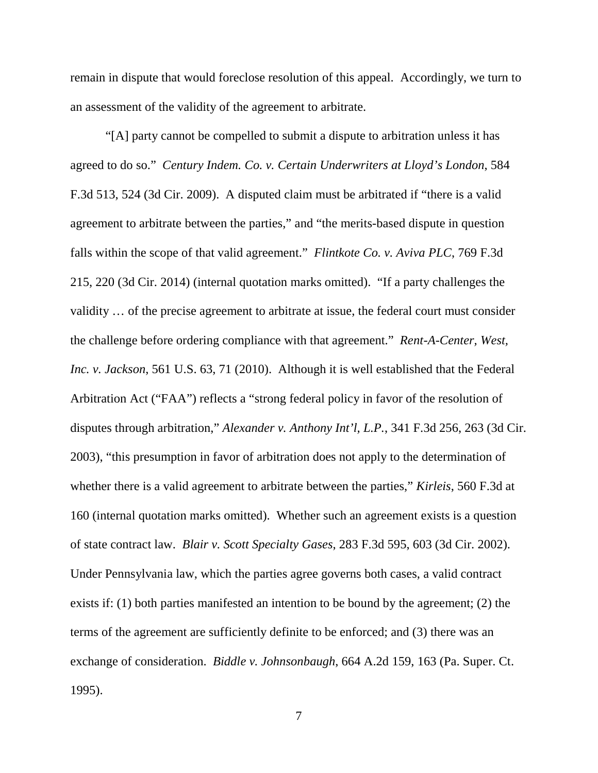remain in dispute that would foreclose resolution of this appeal. Accordingly, we turn to an assessment of the validity of the agreement to arbitrate.

"[A] party cannot be compelled to submit a dispute to arbitration unless it has agreed to do so." *Century Indem. Co. v. Certain Underwriters at Lloyd's London*, 584 F.3d 513, 524 (3d Cir. 2009). A disputed claim must be arbitrated if "there is a valid agreement to arbitrate between the parties," and "the merits-based dispute in question falls within the scope of that valid agreement." *Flintkote Co. v. Aviva PLC*, 769 F.3d 215, 220 (3d Cir. 2014) (internal quotation marks omitted). "If a party challenges the validity … of the precise agreement to arbitrate at issue, the federal court must consider the challenge before ordering compliance with that agreement." *Rent-A-Center, West, Inc. v. Jackson*, 561 U.S. 63, 71 (2010). Although it is well established that the Federal Arbitration Act ("FAA") reflects a "strong federal policy in favor of the resolution of disputes through arbitration," *Alexander v. Anthony Int'l, L.P.*, 341 F.3d 256, 263 (3d Cir. 2003), "this presumption in favor of arbitration does not apply to the determination of whether there is a valid agreement to arbitrate between the parties," *Kirleis*, 560 F.3d at 160 (internal quotation marks omitted). Whether such an agreement exists is a question of state contract law. *Blair v. Scott Specialty Gases*, 283 F.3d 595, 603 (3d Cir. 2002). Under Pennsylvania law, which the parties agree governs both cases, a valid contract exists if: (1) both parties manifested an intention to be bound by the agreement; (2) the terms of the agreement are sufficiently definite to be enforced; and (3) there was an exchange of consideration. *Biddle v. Johnsonbaugh*, 664 A.2d 159, 163 (Pa. Super. Ct. 1995).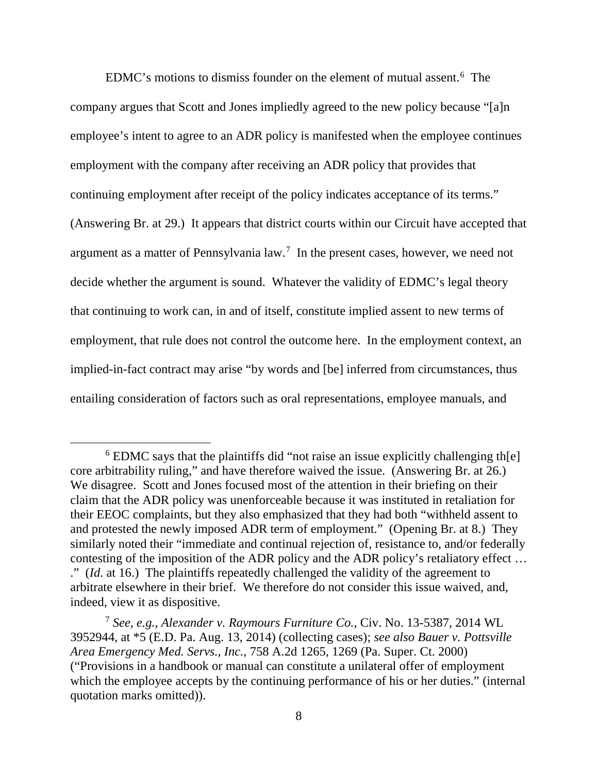EDMC's motions to dismiss founder on the element of mutual assent.6 The company argues that Scott and Jones impliedly agreed to the new policy because "[a]n employee's intent to agree to an ADR policy is manifested when the employee continues employment with the company after receiving an ADR policy that provides that continuing employment after receipt of the policy indicates acceptance of its terms." (Answering Br. at 29.) It appears that district courts within our Circuit have accepted that argument as a matter of Pennsylvania  $law$ <sup>7</sup>. In the present cases, however, we need not decide whether the argument is sound. Whatever the validity of EDMC's legal theory that continuing to work can, in and of itself, constitute implied assent to new terms of employment, that rule does not control the outcome here. In the employment context, an implied-in-fact contract may arise "by words and [be] inferred from circumstances, thus entailing consideration of factors such as oral representations, employee manuals, and

<sup>&</sup>lt;sup>6</sup> EDMC says that the plaintiffs did "not raise an issue explicitly challenging the core arbitrability ruling," and have therefore waived the issue. (Answering Br. at 26.) We disagree. Scott and Jones focused most of the attention in their briefing on their claim that the ADR policy was unenforceable because it was instituted in retaliation for their EEOC complaints, but they also emphasized that they had both "withheld assent to and protested the newly imposed ADR term of employment." (Opening Br. at 8.) They similarly noted their "immediate and continual rejection of, resistance to, and/or federally contesting of the imposition of the ADR policy and the ADR policy's retaliatory effect … ." (*Id*. at 16.) The plaintiffs repeatedly challenged the validity of the agreement to arbitrate elsewhere in their brief. We therefore do not consider this issue waived, and, indeed, view it as dispositive.

<sup>7</sup> *See, e.g.*, *Alexander v. Raymours Furniture Co.*, Civ. No. 13-5387, 2014 WL 3952944, at \*5 (E.D. Pa. Aug. 13, 2014) (collecting cases); *see also Bauer v. Pottsville Area Emergency Med. Servs., Inc.*, 758 A.2d 1265, 1269 (Pa. Super. Ct. 2000) ("Provisions in a handbook or manual can constitute a unilateral offer of employment which the employee accepts by the continuing performance of his or her duties." (internal quotation marks omitted)).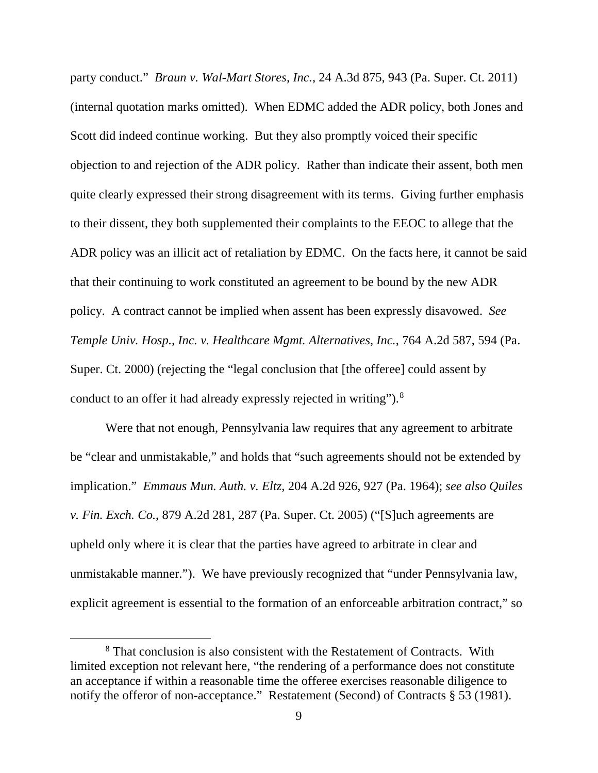party conduct." *Braun v. Wal-Mart Stores, Inc.*, 24 A.3d 875, 943 (Pa. Super. Ct. 2011) (internal quotation marks omitted). When EDMC added the ADR policy, both Jones and Scott did indeed continue working. But they also promptly voiced their specific objection to and rejection of the ADR policy. Rather than indicate their assent, both men quite clearly expressed their strong disagreement with its terms. Giving further emphasis to their dissent, they both supplemented their complaints to the EEOC to allege that the ADR policy was an illicit act of retaliation by EDMC. On the facts here, it cannot be said that their continuing to work constituted an agreement to be bound by the new ADR policy. A contract cannot be implied when assent has been expressly disavowed. *See Temple Univ. Hosp., Inc. v. Healthcare Mgmt. Alternatives, Inc.*, 764 A.2d 587, 594 (Pa. Super. Ct. 2000) (rejecting the "legal conclusion that [the offeree] could assent by conduct to an offer it had already expressly rejected in writing").<sup>8</sup>

Were that not enough, Pennsylvania law requires that any agreement to arbitrate be "clear and unmistakable," and holds that "such agreements should not be extended by implication." *Emmaus Mun. Auth. v. Eltz*, 204 A.2d 926, 927 (Pa. 1964); *see also Quiles v. Fin. Exch. Co.*, 879 A.2d 281, 287 (Pa. Super. Ct. 2005) ("[S]uch agreements are upheld only where it is clear that the parties have agreed to arbitrate in clear and unmistakable manner."). We have previously recognized that "under Pennsylvania law, explicit agreement is essential to the formation of an enforceable arbitration contract," so

<sup>&</sup>lt;sup>8</sup> That conclusion is also consistent with the Restatement of Contracts. With limited exception not relevant here, "the rendering of a performance does not constitute an acceptance if within a reasonable time the offeree exercises reasonable diligence to notify the offeror of non-acceptance." Restatement (Second) of Contracts § 53 (1981).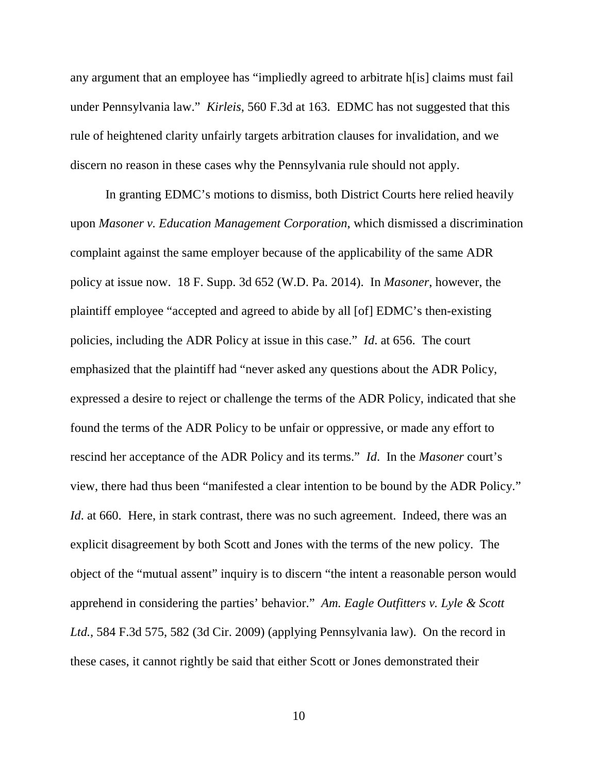any argument that an employee has "impliedly agreed to arbitrate h[is] claims must fail under Pennsylvania law." *Kirleis*, 560 F.3d at 163. EDMC has not suggested that this rule of heightened clarity unfairly targets arbitration clauses for invalidation, and we discern no reason in these cases why the Pennsylvania rule should not apply.

In granting EDMC's motions to dismiss, both District Courts here relied heavily upon *Masoner v. Education Management Corporation*, which dismissed a discrimination complaint against the same employer because of the applicability of the same ADR policy at issue now. 18 F. Supp. 3d 652 (W.D. Pa. 2014). In *Masoner*, however, the plaintiff employee "accepted and agreed to abide by all [of] EDMC's then-existing policies, including the ADR Policy at issue in this case." *Id*. at 656. The court emphasized that the plaintiff had "never asked any questions about the ADR Policy, expressed a desire to reject or challenge the terms of the ADR Policy, indicated that she found the terms of the ADR Policy to be unfair or oppressive, or made any effort to rescind her acceptance of the ADR Policy and its terms." *Id*. In the *Masoner* court's view, there had thus been "manifested a clear intention to be bound by the ADR Policy." *Id*. at 660. Here, in stark contrast, there was no such agreement. Indeed, there was an explicit disagreement by both Scott and Jones with the terms of the new policy. The object of the "mutual assent" inquiry is to discern "the intent a reasonable person would apprehend in considering the parties' behavior." *Am. Eagle Outfitters v. Lyle & Scott Ltd.*, 584 F.3d 575, 582 (3d Cir. 2009) (applying Pennsylvania law). On the record in these cases, it cannot rightly be said that either Scott or Jones demonstrated their